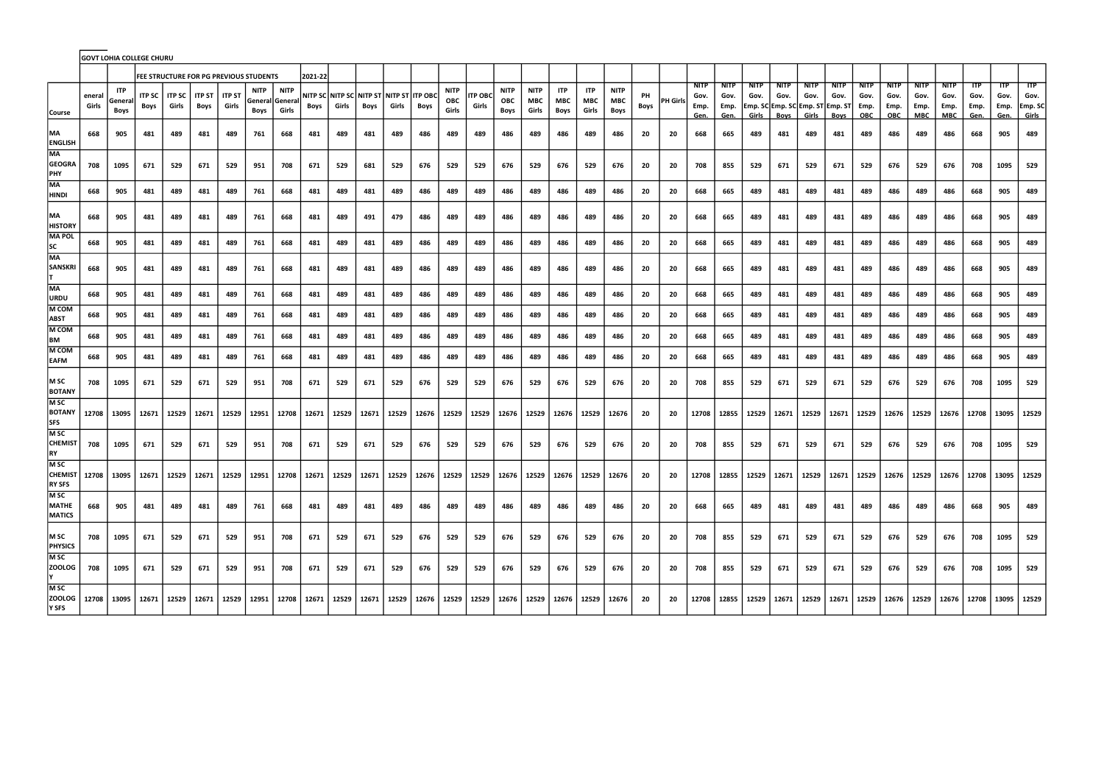|                                                                                                                                                                                                            |                 | GOVT LOHIA COLLEGE CHURU                                                                                                              |      |                                            |      |       |                                                       |               |         |       |                                                 |       |       |                               |                         |                                   |                             |                           |                            |                            |            |                 |                              |                                     |                              |                                                                        |                                     |                                    |                                    |                                           |                                           |                                                                                       |                                    |                              |                                                    |
|------------------------------------------------------------------------------------------------------------------------------------------------------------------------------------------------------------|-----------------|---------------------------------------------------------------------------------------------------------------------------------------|------|--------------------------------------------|------|-------|-------------------------------------------------------|---------------|---------|-------|-------------------------------------------------|-------|-------|-------------------------------|-------------------------|-----------------------------------|-----------------------------|---------------------------|----------------------------|----------------------------|------------|-----------------|------------------------------|-------------------------------------|------------------------------|------------------------------------------------------------------------|-------------------------------------|------------------------------------|------------------------------------|-------------------------------------------|-------------------------------------------|---------------------------------------------------------------------------------------|------------------------------------|------------------------------|----------------------------------------------------|
|                                                                                                                                                                                                            |                 |                                                                                                                                       |      |                                            |      |       | <b>FEE STRUCTURE FOR PG PREVIOUS STUDENTS</b>         |               | 2021-22 |       |                                                 |       |       |                               |                         |                                   |                             |                           |                            |                            |            |                 |                              |                                     |                              |                                                                        |                                     |                                    |                                    |                                           |                                           |                                                                                       |                                    |                              |                                                    |
| Course                                                                                                                                                                                                     | eneral<br>Girls | <b>ITP</b><br>Genera<br><b>Boys</b>                                                                                                   | Boys | ITP SC   ITP SC   ITP ST   ITP ST<br>Girls | Boys | Girls | <b>NITP</b><br> General General<br>Boys               | NITP<br>Girls | Boys    | Girls | NITP SC NITP SC NITP ST NITP ST ITP OBC<br>Boys | Girls | Boys  | <b>NITP</b><br>OBC<br>Girls   | <b>ITP OBC</b><br>Girls | <b>NITP</b><br><b>OBC</b><br>Boys | <b>NITP</b><br>МВС<br>Girls | <b>ITP</b><br>MBC<br>Boys | <b>ITP</b><br>МВС<br>Girls | <b>NITP</b><br>MBC<br>Boys | PH<br>Boys | <b>PH</b> Girls | NITP<br>Gov.<br>Emp.<br>Gen. | <b>NITP</b><br>Gov.<br>Emp.<br>Gen. | <b>NITP</b><br>Gov.<br>Girls | <b>NITP</b><br>Gov.<br>Emp. SC Emp. SC Emp. ST Emp. ST <br><b>Boys</b> | <b>NITP</b><br>Gov.<br><b>Girls</b> | <b>NITP</b><br>Gov.<br><b>Boys</b> | <b>NITP</b><br>Gov.<br>Emp.<br>OBC | <b>NITP</b><br>Gov.<br>Emp.<br><b>OBC</b> | <b>NITP</b><br>Gov.<br>Emp.<br><b>MBC</b> | NITP<br>Gov.<br>Emp.<br><b>MBC</b>                                                    | <b>ITP</b><br>Gov.<br>Emp.<br>Gen. | ITP.<br>Gov.<br>Emp.<br>Gen. | $\overline{IP}$<br>Gov.<br>Emp. SC<br><b>Girls</b> |
| MA<br><b>ENGLISH</b>                                                                                                                                                                                       | 668             | 905                                                                                                                                   | 481  | 489                                        | 481  | 489   | 761                                                   | 668           | 481     | 489   | 481                                             | 489   | 486   | 489                           | 489                     | 486                               | 489                         | 486                       | 489                        | 486                        | 20         | 20              | 668                          | 665                                 | 489                          | 481                                                                    | 489                                 | 481                                | 489                                | 486                                       | 489                                       | 486                                                                                   | 668                                | 905                          | 489                                                |
| MA<br><b>GEOGRA</b><br>PHY                                                                                                                                                                                 | 708             | 1095                                                                                                                                  | 671  | 529                                        | 671  | 529   | 951                                                   | 708           | 671     | 529   | 681                                             | 529   | 676   | 529                           | 529                     | 676                               | 529                         | 676                       | 529                        | 676                        | 20         | 20              | 708                          | 855                                 | 529                          | 671                                                                    | 529                                 | 671                                | 529                                | 676                                       | 529                                       | 676                                                                                   | 708                                | 1095                         | 529                                                |
| MA<br><b>HINDI</b>                                                                                                                                                                                         | 668             | 905                                                                                                                                   | 481  | 489                                        | 481  | 489   | 761                                                   | 668           | 481     | 489   | 481                                             | 489   | 486   | 489                           | 489                     | 486                               | 489                         | 486                       | 489                        | 486                        | 20         | 20              | 668                          | 665                                 | 489                          | 481                                                                    | 489                                 | 481                                | 489                                | 486                                       | 489                                       | 486                                                                                   | 668                                | 905                          | 489                                                |
| MA<br><b>HISTORY</b>                                                                                                                                                                                       | 668             | 905                                                                                                                                   | 481  | 489                                        | 481  | 489   | 761                                                   | 668           | 481     | 489   | 491                                             | 479   | 486   | 489                           | 489                     | 486                               | 489                         | 486                       | 489                        | 486                        | 20         | 20              | 668                          | 665                                 | 489                          | 481                                                                    | 489                                 | 481                                | 489                                | 486                                       | 489                                       | 486                                                                                   | 668                                | 905                          | 489                                                |
| <b>MA POL</b><br>SC                                                                                                                                                                                        | 668             | 905                                                                                                                                   | 481  | 489                                        | 481  | 489   | 761                                                   | 668           | 481     | 489   | 481                                             | 489   | 486   | 489                           | 489                     | 486                               | 489                         | 486                       | 489                        | 486                        | 20         | 20              | 668                          | 665                                 | 489                          | 481                                                                    | 489                                 | 481                                | 489                                | 486                                       | 489                                       | 486                                                                                   | 668                                | 905                          | 489                                                |
| MA<br><b>SANSKRI</b>                                                                                                                                                                                       | 668             | 905                                                                                                                                   | 481  | 489                                        | 481  | 489   | 761                                                   | 668           | 481     | 489   | 481                                             | 489   | 486   | 489                           | 489                     | 486                               | 489                         | 486                       | 489                        | 486                        | 20         | 20              | 668                          | 665                                 | 489                          | 481                                                                    | 489                                 | 481                                | 489                                | 486                                       | 489                                       | 486                                                                                   | 668                                | 905                          | 489                                                |
| MA<br>URDU                                                                                                                                                                                                 | 668             | 905                                                                                                                                   | 481  | 489                                        | 481  | 489   | 761                                                   | 668           | 481     | 489   | 481                                             | 489   | 486   | 489                           | 489                     | 486                               | 489                         | 486                       | 489                        | 486                        | 20         | 20              | 668                          | 665                                 | 489                          | 481                                                                    | 489                                 | 481                                | 489                                | 486                                       | 489                                       | 486                                                                                   | 668                                | 905                          | 489                                                |
| <b>M</b> COM<br><b>ABST</b>                                                                                                                                                                                | 668             | 905                                                                                                                                   | 481  | 489                                        | 481  | 489   | 761                                                   | 668           | 481     | 489   | 481                                             | 489   | 486   | 489                           | 489                     | 486                               | 489                         | 486                       | 489                        | 486                        | 20         | 20              | 668                          | 665                                 | 489                          | 481                                                                    | 489                                 | 481                                | 489                                | 486                                       | 489                                       | 486                                                                                   | 668                                | 905                          | 489                                                |
| <b>M</b> COM<br>BM                                                                                                                                                                                         | 668             | 905                                                                                                                                   | 481  | 489                                        | 481  | 489   | 761                                                   | 668           | 481     | 489   | 481                                             | 489   | 486   | 489                           | 489                     | 486                               | 489                         | 486                       | 489                        | 486                        | 20         | 20              | 668                          | 665                                 | 489                          | 481                                                                    | 489                                 | 481                                | 489                                | 486                                       | 489                                       | 486                                                                                   | 668                                | 905                          | 489                                                |
| <b>M COM</b><br><b>EAFM</b>                                                                                                                                                                                | 668             | 905                                                                                                                                   | 481  | 489                                        | 481  | 489   | 761                                                   | 668           | 481     | 489   | 481                                             | 489   | 486   | 489                           | 489                     | 486                               | 489                         | 486                       | 489                        | 486                        | 20         | 20              | 668                          | 665                                 | 489                          | 481                                                                    | 489                                 | 481                                | 489                                | 486                                       | 489                                       | 486                                                                                   | 668                                | 905                          | 489                                                |
| M SC<br><b>BOTANY</b>                                                                                                                                                                                      | 708             | 1095                                                                                                                                  | 671  | 529                                        | 671  | 529   | 951                                                   | 708           | 671     | 529   | 671                                             | 529   | 676   | 529                           | 529                     | 676                               | 529                         | 676                       | 529                        | 676                        | 20         | 20              | 708                          | 855                                 | 529                          | 671                                                                    | 529                                 | 671                                | 529                                | 676                                       | 529                                       | 676                                                                                   | 708                                | 1095                         | 529                                                |
| MSC<br><b>BOTANY</b><br><b>SFS</b>                                                                                                                                                                         | 12708           | 13095                                                                                                                                 |      |                                            |      |       | 12671   12529   12671   12529   12951   12708   12671 |               |         | 12529 | 12671                                           | 12529 | 12676 | 12529   12529   12676   12529 |                         |                                   |                             |                           | 12676 12529                | 12676                      | 20         | 20              | 12708                        | 12855                               | 12529                        | 12671                                                                  | 12529                               | 12671   12529                      |                                    |                                           | 12676   12529                             | 12676   12708                                                                         |                                    |                              | 13095   12529                                      |
| MSC<br><b>CHEMIST</b><br>RY                                                                                                                                                                                | 708             | 1095                                                                                                                                  | 671  | 529                                        | 671  | 529   | 951                                                   | 708           | 671     | 529   | 671                                             | 529   | 676   | 529                           | 529                     | 676                               | 529                         | 676                       | 529                        | 676                        | 20         | 20              | 708                          | 855                                 | 529                          | 671                                                                    | 529                                 | 671                                | 529                                | 676                                       | 529                                       | 676                                                                                   | 708                                | 1095                         | 529                                                |
| MSC<br>CHEMIST<br><b>RY SFS</b>                                                                                                                                                                            |                 | 12708   13095   12671   12529   12671   12529   12951   12708   12671   12529   12671   12529   12676   12529   12529   12676   12529 |      |                                            |      |       |                                                       |               |         |       |                                                 |       |       |                               |                         |                                   |                             | 12676   12529             |                            | 12676                      | 20         | 20              |                              | 12708 12855                         |                              |                                                                        |                                     |                                    |                                    |                                           |                                           | 12529   12671   12529   12671   12529   12676   12529   12676   12708   13095   12529 |                                    |                              |                                                    |
| M <sub>SC</sub><br><b>MATHE</b><br><b>MATICS</b>                                                                                                                                                           | 668             | 905                                                                                                                                   | 481  | 489                                        | 481  | 489   | 761                                                   | 668           | 481     | 489   | 481                                             | 489   | 486   | 489                           | 489                     | 486                               | 489                         | 486                       | 489                        | 486                        | 20         | 20              | 668                          | 665                                 | 489                          | 481                                                                    | 489                                 | 481                                | 489                                | 486                                       | 489                                       | 486                                                                                   | 668                                | 905                          | 489                                                |
| M SC<br><b>PHYSICS</b>                                                                                                                                                                                     | 708             | 1095                                                                                                                                  | 671  | 529                                        | 671  | 529   | 951                                                   | 708           | 671     | 529   | 671                                             | 529   | 676   | 529                           | 529                     | 676                               | 529                         | 676                       | 529                        | 676                        | 20         | 20              | 708                          | 855                                 | 529                          | 671                                                                    | 529                                 | 671                                | 529                                | 676                                       | 529                                       | 676                                                                                   | 708                                | 1095                         | 529                                                |
| M <sub>SC</sub><br>ZOOLOG                                                                                                                                                                                  | 708             | 1095                                                                                                                                  | 671  | 529                                        | 671  | 529   | 951                                                   | 708           | 671     | 529   | 671                                             | 529   | 676   | 529                           | 529                     | 676                               | 529                         | 676                       | 529                        | 676                        | 20         | 20              | 708                          | 855                                 | 529                          | 671                                                                    | 529                                 | 671                                | 529                                | 676                                       | 529                                       | 676                                                                                   | 708                                | 1095                         | 529                                                |
| MSC<br> ZOOLOG   12708   13095   12671   12529   12671   12529   12951   12708   12671   12529   12579   12676   12529   12676   12529   12676   12529   12676   12529   12676   12529   1<br><b>Y SFS</b> |                 |                                                                                                                                       |      |                                            |      |       |                                                       |               |         |       |                                                 |       |       |                               |                         |                                   |                             |                           |                            | 12676                      | 20         | 20              |                              | 12708 12855                         |                              |                                                                        |                                     |                                    |                                    |                                           |                                           | 12529   12671   12529   12671   12529   12676   12529   12676   12708   13095   12529 |                                    |                              |                                                    |